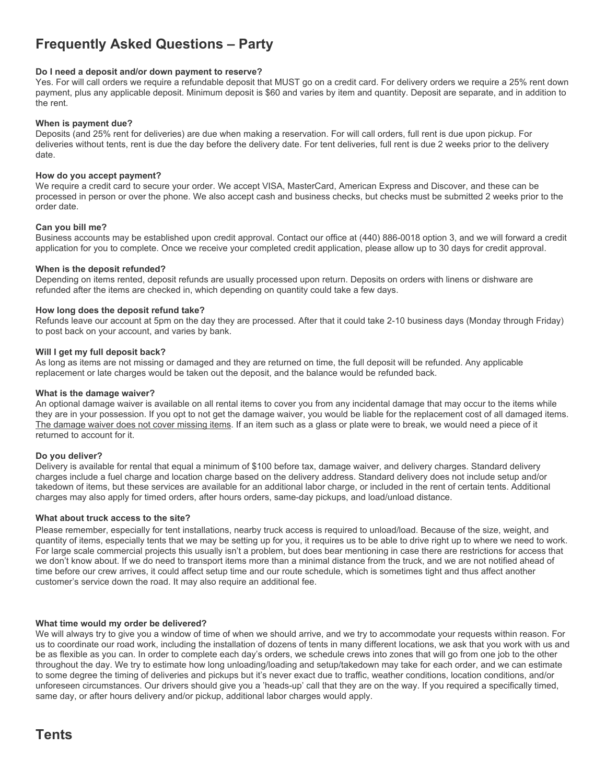# **Frequently Asked Questions – Party**

## **Do I need a deposit and/or down payment to reserve?**

Yes. For will call orders we require a refundable deposit that MUST go on a credit card. For delivery orders we require a 25% rent down payment, plus any applicable deposit. Minimum deposit is \$60 and varies by item and quantity. Deposit are separate, and in addition to the rent.

## **When is payment due?**

Deposits (and 25% rent for deliveries) are due when making a reservation. For will call orders, full rent is due upon pickup. For deliveries without tents, rent is due the day before the delivery date. For tent deliveries, full rent is due 2 weeks prior to the delivery date.

## **How do you accept payment?**

We require a credit card to secure your order. We accept VISA, MasterCard, American Express and Discover, and these can be processed in person or over the phone. We also accept cash and business checks, but checks must be submitted 2 weeks prior to the order date.

## **Can you bill me?**

Business accounts may be established upon credit approval. Contact our office at (440) 886-0018 option 3, and we will forward a credit application for you to complete. Once we receive your completed credit application, please allow up to 30 days for credit approval.

## **When is the deposit refunded?**

Depending on items rented, deposit refunds are usually processed upon return. Deposits on orders with linens or dishware are refunded after the items are checked in, which depending on quantity could take a few days.

## **How long does the deposit refund take?**

Refunds leave our account at 5pm on the day they are processed. After that it could take 2-10 business days (Monday through Friday) to post back on your account, and varies by bank.

## **Will I get my full deposit back?**

As long as items are not missing or damaged and they are returned on time, the full deposit will be refunded. Any applicable replacement or late charges would be taken out the deposit, and the balance would be refunded back.

#### **What is the damage waiver?**

An optional damage waiver is available on all rental items to cover you from any incidental damage that may occur to the items while they are in your possession. If you opt to not get the damage waiver, you would be liable for the replacement cost of all damaged items. The damage waiver does not cover missing items. If an item such as a glass or plate were to break, we would need a piece of it returned to account for it.

#### **Do you deliver?**

Delivery is available for rental that equal a minimum of \$100 before tax, damage waiver, and delivery charges. Standard delivery charges include a fuel charge and location charge based on the delivery address. Standard delivery does not include setup and/or takedown of items, but these services are available for an additional labor charge, or included in the rent of certain tents. Additional charges may also apply for timed orders, after hours orders, same-day pickups, and load/unload distance.

#### **What about truck access to the site?**

Please remember, especially for tent installations, nearby truck access is required to unload/load. Because of the size, weight, and quantity of items, especially tents that we may be setting up for you, it requires us to be able to drive right up to where we need to work. For large scale commercial projects this usually isn't a problem, but does bear mentioning in case there are restrictions for access that we don't know about. If we do need to transport items more than a minimal distance from the truck, and we are not notified ahead of time before our crew arrives, it could affect setup time and our route schedule, which is sometimes tight and thus affect another customer's service down the road. It may also require an additional fee.

# **What time would my order be delivered?**

We will always try to give you a window of time of when we should arrive, and we try to accommodate your requests within reason. For us to coordinate our road work, including the installation of dozens of tents in many different locations, we ask that you work with us and be as flexible as you can. In order to complete each day's orders, we schedule crews into zones that will go from one job to the other throughout the day. We try to estimate how long unloading/loading and setup/takedown may take for each order, and we can estimate to some degree the timing of deliveries and pickups but it's never exact due to traffic, weather conditions, location conditions, and/or unforeseen circumstances. Our drivers should give you a 'heads-up' call that they are on the way. If you required a specifically timed, same day, or after hours delivery and/or pickup, additional labor charges would apply.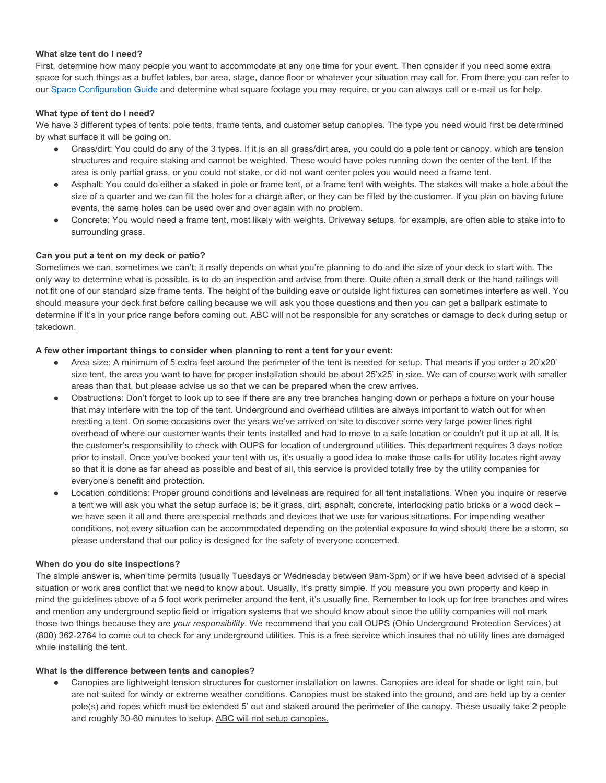# **What size tent do I need?**

First, determine how many people you want to accommodate at any one time for your event. Then consider if you need some extra space for such things as a buffet tables, bar area, stage, dance floor or whatever your situation may call for. From there you can refer to our [Space Configuration Guide](http://www.abcpartycentral.com/seating.asp) and determine what square footage you may require, or you can always call or e-mail us for help.

# **What type of tent do I need?**

We have 3 different types of tents: pole tents, frame tents, and customer setup canopies. The type you need would first be determined by what surface it will be going on.

- Grass/dirt: You could do any of the 3 types. If it is an all grass/dirt area, you could do a pole tent or canopy, which are tension structures and require staking and cannot be weighted. These would have poles running down the center of the tent. If the area is only partial grass, or you could not stake, or did not want center poles you would need a frame tent.
- Asphalt: You could do either a staked in pole or frame tent, or a frame tent with weights. The stakes will make a hole about the size of a quarter and we can fill the holes for a charge after, or they can be filled by the customer. If you plan on having future events, the same holes can be used over and over again with no problem.
- Concrete: You would need a frame tent, most likely with weights. Driveway setups, for example, are often able to stake into to surrounding grass.

# **Can you put a tent on my deck or patio?**

Sometimes we can, sometimes we can't; it really depends on what you're planning to do and the size of your deck to start with. The only way to determine what is possible, is to do an inspection and advise from there. Quite often a small deck or the hand railings will not fit one of our standard size frame tents. The height of the building eave or outside light fixtures can sometimes interfere as well. You should measure your deck first before calling because we will ask you those questions and then you can get a ballpark estimate to determine if it's in your price range before coming out. ABC will not be responsible for any scratches or damage to deck during setup or takedown.

# **A few other important things to consider when planning to rent a tent for your event:**

- Area size: A minimum of 5 extra feet around the perimeter of the tent is needed for setup. That means if you order a 20'x20' size tent, the area you want to have for proper installation should be about 25'x25' in size. We can of course work with smaller areas than that, but please advise us so that we can be prepared when the crew arrives.
- Obstructions: Don't forget to look up to see if there are any tree branches hanging down or perhaps a fixture on your house that may interfere with the top of the tent. Underground and overhead utilities are always important to watch out for when erecting a tent. On some occasions over the years we've arrived on site to discover some very large power lines right overhead of where our customer wants their tents installed and had to move to a safe location or couldn't put it up at all. It is the customer's responsibility to check with OUPS for location of underground utilities. This department requires 3 days notice prior to install. Once you've booked your tent with us, it's usually a good idea to make those calls for utility locates right away so that it is done as far ahead as possible and best of all, this service is provided totally free by the utility companies for everyone's benefit and protection.
- Location conditions: Proper ground conditions and levelness are required for all tent installations. When you inquire or reserve a tent we will ask you what the setup surface is; be it grass, dirt, asphalt, concrete, interlocking patio bricks or a wood deck – we have seen it all and there are special methods and devices that we use for various situations. For impending weather conditions, not every situation can be accommodated depending on the potential exposure to wind should there be a storm, so please understand that our policy is designed for the safety of everyone concerned.

# **When do you do site inspections?**

The simple answer is, when time permits (usually Tuesdays or Wednesday between 9am-3pm) or if we have been advised of a special situation or work area conflict that we need to know about. Usually, it's pretty simple. If you measure you own property and keep in mind the guidelines above of a 5 foot work perimeter around the tent, it's usually fine. Remember to look up for tree branches and wires and mention any underground septic field or irrigation systems that we should know about since the utility companies will not mark those two things because they are *your responsibility*. We recommend that you call OUPS (Ohio Underground Protection Services) at (800) 362-2764 to come out to check for any underground utilities. This is a free service which insures that no utility lines are damaged while installing the tent.

# **What is the difference between tents and canopies?**

Canopies are lightweight tension structures for customer installation on lawns. Canopies are ideal for shade or light rain, but are not suited for windy or extreme weather conditions. Canopies must be staked into the ground, and are held up by a center pole(s) and ropes which must be extended 5' out and staked around the perimeter of the canopy. These usually take 2 people and roughly 30-60 minutes to setup. ABC will not setup canopies.